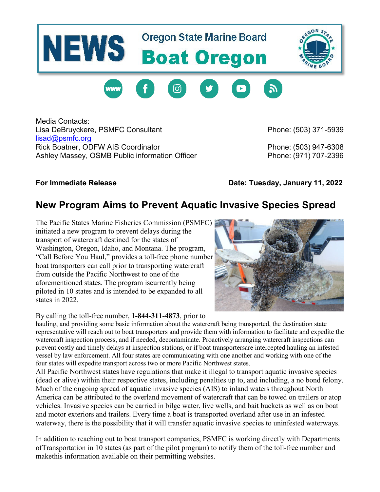## **Oregon State Marine Board NEWS Boat Oregon**





Media Contacts: Lisa DeBruyckere, PSMFC Consultant **Phone: (503) 371-5939** Phone: (503) 371-5939 [lisad@psmfc.org](mailto:lisad@psmfc.org) Rick Boatner, ODFW AIS Coordinator **Phone: (503) 947-6308** Ashley Massey, OSMB Public information Officer **Phone: (971) 707-2396** 

**For Immediate Release Date: Tuesday, January 11, 2022**

## **New Program Aims to Prevent Aquatic Invasive Species Spread**

The Pacific States Marine Fisheries Commission (PSMFC) initiated a new program to prevent delays during the transport of watercraft destined for the states of Washington, Oregon, Idaho, and Montana. The program, "Call Before You Haul," provides a toll-free phone number boat transporters can call prior to transporting watercraft from outside the Pacific Northwest to one of the aforementioned states. The program iscurrently being piloted in 10 states and is intended to be expanded to all states in 2022.

By calling the toll-free number, **1-844-311-4873**, prior to



hauling, and providing some basic information about the watercraft being transported, the destination state representative will reach out to boat transporters and provide them with information to facilitate and expedite the watercraft inspection process, and if needed, decontaminate. Proactively arranging watercraft inspections can prevent costly and timely delays at inspection stations, or if boat transportersare intercepted hauling an infested vessel by law enforcement. All four states are communicating with one another and working with one of the four states will expedite transport across two or more Pacific Northwest states.

All Pacific Northwest states have regulations that make it illegal to transport aquatic invasive species (dead or alive) within their respective states, including penalties up to, and including, a no bond felony. Much of the ongoing spread of aquatic invasive species (AIS) to inland waters throughout North America can be attributed to the overland movement of watercraft that can be towed on trailers or atop vehicles. Invasive species can be carried in bilge water, live wells, and bait buckets as well as on boat and motor exteriors and trailers. Every time a boat is transported overland after use in an infested waterway, there is the possibility that it will transfer aquatic invasive species to uninfested waterways.

In addition to reaching out to boat transport companies, PSMFC is working directly with Departments ofTransportation in 10 states (as part of the pilot program) to notify them of the toll-free number and makethis information available on their permitting websites.